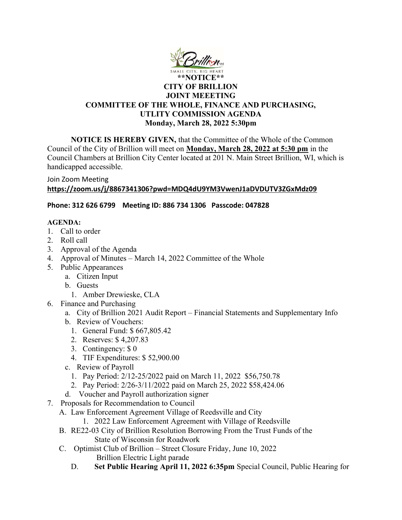

## CITY OF BRILLION JOINT MEEETING COMMITTEE OF THE WHOLE, FINANCE AND PURCHASING, UTLITY COMMISSION AGENDA Monday, March 28, 2022 5:30pm

NOTICE IS HEREBY GIVEN, that the Committee of the Whole of the Common Council of the City of Brillion will meet on Monday, March 28, 2022 at 5:30 pm in the Council Chambers at Brillion City Center located at 201 N. Main Street Brillion, WI, which is handicapped accessible.

Join Zoom Meeting

## https://zoom.us/j/8867341306?pwd=MDQ4dU9YM3VwenJ1aDVDUTV3ZGxMdz09

## Phone: 312 626 6799 Meeting ID: 886 734 1306 Passcode: 047828

## AGENDA:

- 1. Call to order
- 2. Roll call
- 3. Approval of the Agenda
- 4. Approval of Minutes March 14, 2022 Committee of the Whole
- 5. Public Appearances
	- a. Citizen Input
	- b. Guests
		- 1. Amber Drewieske, CLA
- 6. Finance and Purchasing
	- a. City of Brillion 2021 Audit Report Financial Statements and Supplementary Info
	- b. Review of Vouchers:
		- 1. General Fund: \$ 667,805.42
		- 2. Reserves: \$ 4,207.83
		- 3. Contingency: \$ 0
		- 4. TIF Expenditures: \$ 52,900.00
	- c. Review of Payroll
		- 1. Pay Period: 2/12-25/2022 paid on March 11, 2022 \$56,750.78
		- 2. Pay Period: 2/26-3/11/2022 paid on March 25, 2022 \$58,424.06
	- d. Voucher and Payroll authorization signer
- 7. Proposals for Recommendation to Council
	- A. Law Enforcement Agreement Village of Reedsville and City
		- 1. 2022 Law Enforcement Agreement with Village of Reedsville
	- B. RE22-03 City of Brillion Resolution Borrowing From the Trust Funds of the State of Wisconsin for Roadwork
	- C. Optimist Club of Brillion Street Closure Friday, June 10, 2022 Brillion Electric Light parade
		- D. Set Public Hearing April 11, 2022 6:35pm Special Council, Public Hearing for